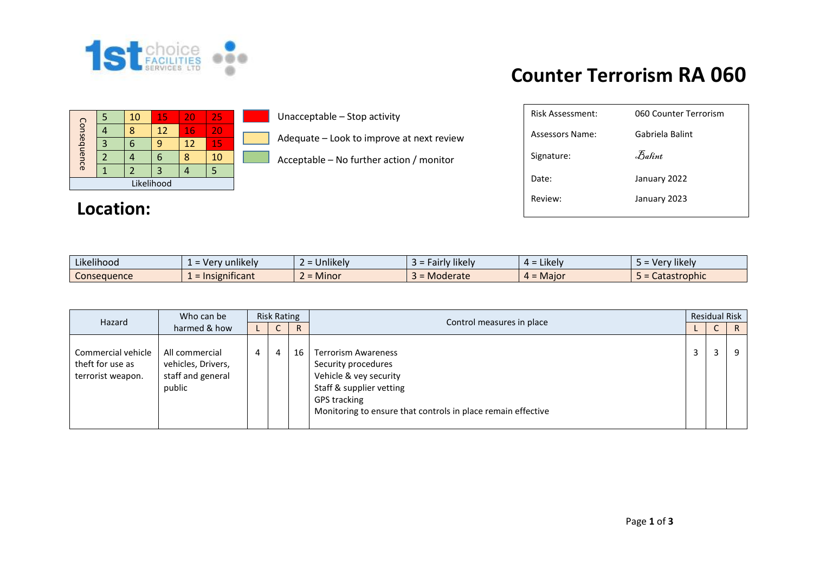

#### 5 | 10 | 15 | 20 | 25 Consequence Consequence 4 | 8 | 12 | <mark>16 | 20</mark> 3 6 9 12 15 2 |4 |6 |<mark>8 |10</mark>  $1 \mid 2 \mid 3 \mid 4 \mid 5$ Likelihood

### **Location:**

Unacceptable – Stop activity

Adequate – Look to improve at next review

Acceptable – No further action / monitor

# **Counter Terrorism RA 060**

| Risk Assessment: | 060 Counter Terrorism          |
|------------------|--------------------------------|
| Assessors Name:  | Gabriela Balint                |
| Signature:       | $\mathcal{F}_{\mathit{abint}}$ |
| Date:            | January 2022                   |
| Review:          | January 2023                   |
|                  |                                |

| .<br>Likelihood | unlikely<br>Ver                                      | $\cdots$<br>Unlikely<br>$-1$     | .<br>sikely !<br>airly.<br>- - - | .<br><b>Likely</b><br>- ⊥ —      | <b>Hikely</b><br>$I \cap r$              |
|-----------------|------------------------------------------------------|----------------------------------|----------------------------------|----------------------------------|------------------------------------------|
| Conseauence     | mificant.<br>Inc<br><b><i>COLLAGER</i></b><br>שוכווו | $\bullet$ $\bullet$<br>. = Minor | Moderate                         | Majo<br>$\overline{\phantom{a}}$ | Catastrophic<br>$\overline{\phantom{a}}$ |

| Hazard                                                      | Who can be                                                          | <b>Risk Rating</b> |   |    |                                                                                                                                                                                                                             | <b>Residual Risk</b> |   |   |              |
|-------------------------------------------------------------|---------------------------------------------------------------------|--------------------|---|----|-----------------------------------------------------------------------------------------------------------------------------------------------------------------------------------------------------------------------------|----------------------|---|---|--------------|
|                                                             |                                                                     | harmed & how       |   | ◡  | R                                                                                                                                                                                                                           |                      |   | U | $\mathsf{R}$ |
| Commercial vehicle<br>theft for use as<br>terrorist weapon. | All commercial<br>vehicles, Drivers,<br>staff and general<br>public | 4                  | 4 | 16 | Control measures in place<br><b>Terrorism Awareness</b><br>Security procedures<br>Vehicle & vey security<br>Staff & supplier vetting<br><b>GPS tracking</b><br>Monitoring to ensure that controls in place remain effective |                      | 3 | q |              |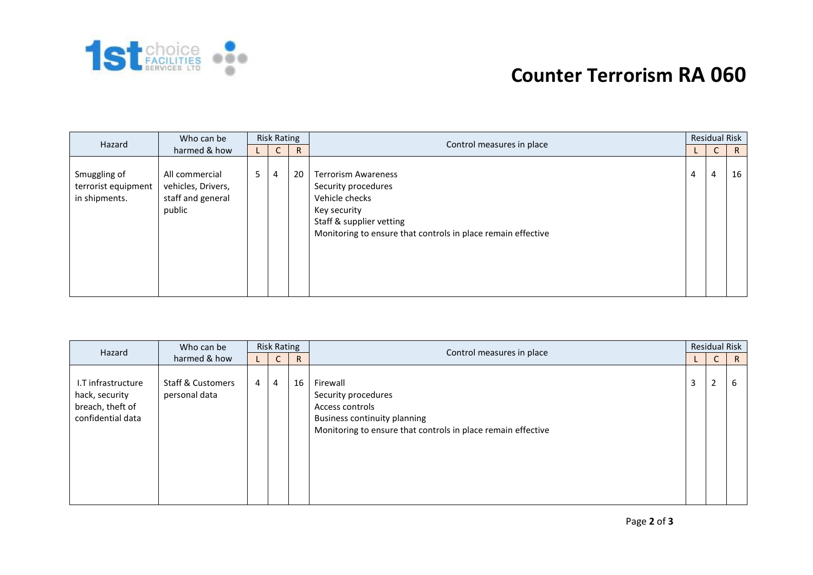

# **Counter Terrorism RA 060**

| Hazard                                               | Who can be                                                          | <b>Risk Rating</b> |              |              |                                                                                                                                                                                                              |  | <b>Residual Risk</b> |    |  |
|------------------------------------------------------|---------------------------------------------------------------------|--------------------|--------------|--------------|--------------------------------------------------------------------------------------------------------------------------------------------------------------------------------------------------------------|--|----------------------|----|--|
|                                                      | harmed & how                                                        |                    | $\mathsf{C}$ | $\mathsf{R}$ |                                                                                                                                                                                                              |  | $\mathsf{C}$         | R  |  |
| Smuggling of<br>terrorist equipment<br>in shipments. | All commercial<br>vehicles, Drivers,<br>staff and general<br>public | 5                  | 4            | 20           | Control measures in place<br><b>Terrorism Awareness</b><br>Security procedures<br>Vehicle checks<br>Key security<br>Staff & supplier vetting<br>Monitoring to ensure that controls in place remain effective |  | 4                    | 16 |  |

| Hazard                                                                        | Who can be                                    | <b>Risk Rating</b> |                |              |                                                                                                                                                                                 | <b>Residual Risk</b> |              |              |  |
|-------------------------------------------------------------------------------|-----------------------------------------------|--------------------|----------------|--------------|---------------------------------------------------------------------------------------------------------------------------------------------------------------------------------|----------------------|--------------|--------------|--|
|                                                                               | harmed & how                                  |                    | Ċ.             | $\mathsf{R}$ |                                                                                                                                                                                 |                      | $\mathsf{C}$ | $\mathsf{R}$ |  |
| I.T infrastructure<br>hack, security<br>breach, theft of<br>confidential data | <b>Staff &amp; Customers</b><br>personal data | 4                  | $\overline{4}$ | 16           | Control measures in place<br>Firewall<br>Security procedures<br>Access controls<br>Business continuity planning<br>Monitoring to ensure that controls in place remain effective |                      | 2            | 6            |  |